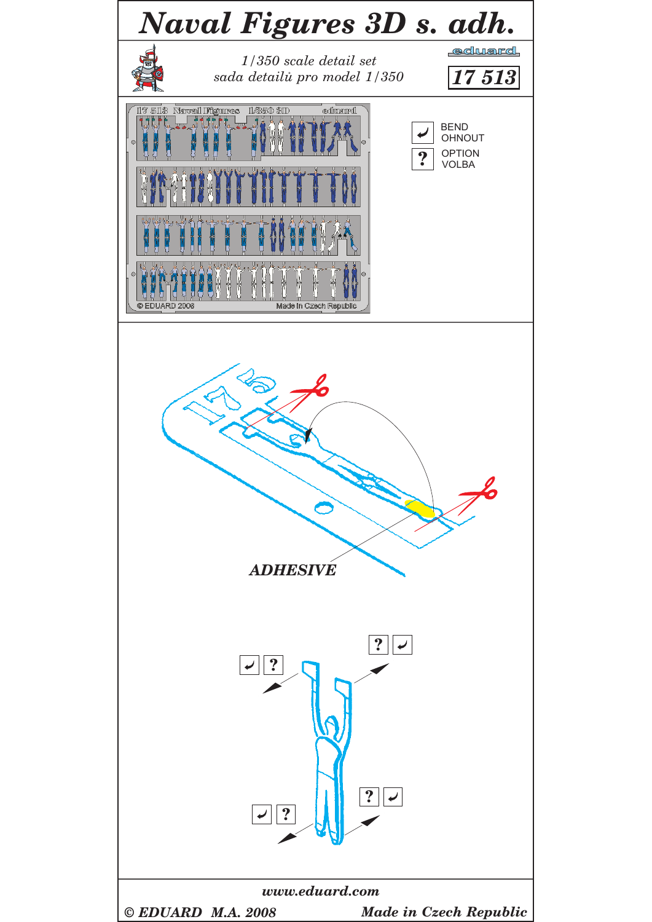